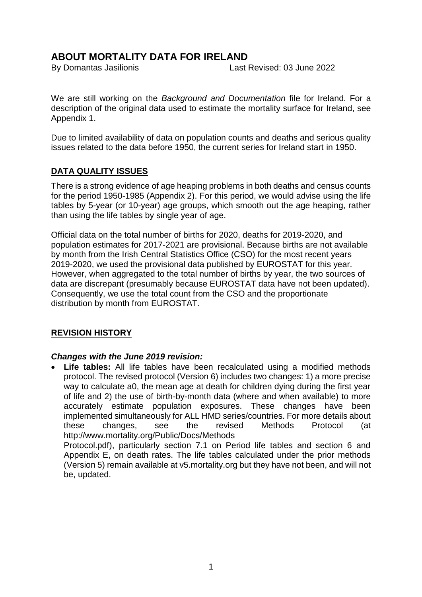## **ABOUT MORTALITY DATA FOR IRELAND**

By Domantas Jasilionis Last Revised: 03 June 2022

We are still working on the *Background and Documentation* file for Ireland. For a description of the original data used to estimate the mortality surface for Ireland, see Appendix 1.

Due to limited availability of data on population counts and deaths and serious quality issues related to the data before 1950, the current series for Ireland start in 1950.

#### **DATA QUALITY ISSUES**

There is a strong evidence of age heaping problems in both deaths and census counts for the period 1950-1985 (Appendix 2). For this period, we would advise using the life tables by 5-year (or 10-year) age groups, which smooth out the age heaping, rather than using the life tables by single year of age.

Official data on the total number of births for 2020, deaths for 2019-2020, and population estimates for 2017-2021 are provisional. Because births are not available by month from the Irish Central Statistics Office (CSO) for the most recent years 2019-2020, we used the provisional data published by EUROSTAT for this year. However, when aggregated to the total number of births by year, the two sources of data are discrepant (presumably because EUROSTAT data have not been updated). Consequently, we use the total count from the CSO and the proportionate distribution by month from EUROSTAT.

#### **REVISION HISTORY**

#### *Changes with the June 2019 revision:*

**Life tables:** All life tables have been recalculated using a modified methods protocol. The revised protocol (Version 6) includes two changes: 1) a more precise way to calculate a0, the mean age at death for children dying during the first year of life and 2) the use of birth-by-month data (where and when available) to more accurately estimate population exposures. These changes have been implemented simultaneously for ALL HMD series/countries. For more details about these changes, see the revised Methods Protocol (at http://www.mortality.org/Public/Docs/Methods

Protocol.pdf), particularly section 7.1 on Period life tables and section 6 and Appendix E, on death rates. The life tables calculated under the prior methods (Version 5) remain available at v5.mortality.org but they have not been, and will not be, updated.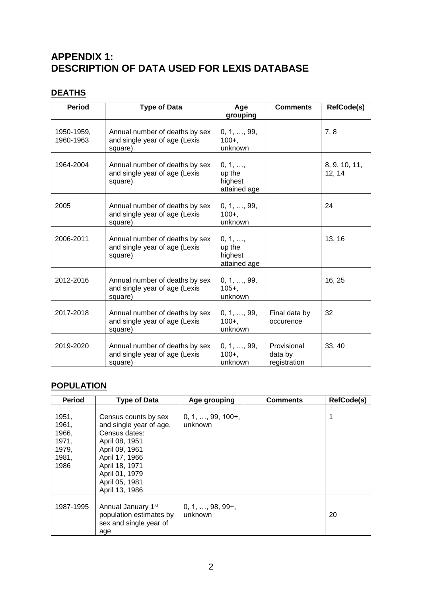## **APPENDIX 1: DESCRIPTION OF DATA USED FOR LEXIS DATABASE**

## **DEATHS**

| <b>Period</b>           | <b>Type of Data</b>                                                        | Age<br>grouping                                      | <b>Comments</b>                        | <b>RefCode(s)</b>       |
|-------------------------|----------------------------------------------------------------------------|------------------------------------------------------|----------------------------------------|-------------------------|
| 1950-1959,<br>1960-1963 | Annual number of deaths by sex<br>and single year of age (Lexis<br>square) | 0, 1, , 99,<br>$100 +$ .<br>unknown                  |                                        | 7,8                     |
| 1964-2004               | Annual number of deaths by sex<br>and single year of age (Lexis<br>square) | $0, 1, \ldots,$<br>up the<br>highest<br>attained age |                                        | 8, 9, 10, 11,<br>12, 14 |
| 2005                    | Annual number of deaths by sex<br>and single year of age (Lexis<br>square) | 0, 1, , 99,<br>$100 +$ ,<br>unknown                  |                                        | 24                      |
| 2006-2011               | Annual number of deaths by sex<br>and single year of age (Lexis<br>square) | 0, 1, ,<br>up the<br>highest<br>attained age         |                                        | 13, 16                  |
| 2012-2016               | Annual number of deaths by sex<br>and single year of age (Lexis<br>square) | 0, 1, , 99,<br>$105 +$ ,<br>unknown                  |                                        | 16, 25                  |
| 2017-2018               | Annual number of deaths by sex<br>and single year of age (Lexis<br>square) | 0, 1, , 99,<br>$100 +$ ,<br>unknown                  | Final data by<br>occurence             | 32                      |
| 2019-2020               | Annual number of deaths by sex<br>and single year of age (Lexis<br>square) | 0, 1, , 99,<br>$100+,$<br>unknown                    | Provisional<br>data by<br>registration | 33, 40                  |

## **POPULATION**

| <b>Period</b>                                              | <b>Type of Data</b>                                                                                                                                                                            | Age grouping                         | <b>Comments</b> | RefCode(s) |
|------------------------------------------------------------|------------------------------------------------------------------------------------------------------------------------------------------------------------------------------------------------|--------------------------------------|-----------------|------------|
| 1951,<br>1961,<br>1966,<br>1971,<br>1979,<br>1981,<br>1986 | Census counts by sex<br>and single year of age.<br>Census dates:<br>April 08, 1951<br>April 09, 1961<br>April 17, 1966<br>April 18, 1971<br>April 01, 1979<br>April 05, 1981<br>April 13, 1986 | $0, 1, \ldots, 99, 100+,$<br>unknown |                 |            |
| 1987-1995                                                  | Annual January 1st<br>population estimates by<br>sex and single year of<br>age                                                                                                                 | $0, 1, \ldots, 98, 99+$<br>unknown   |                 | 20         |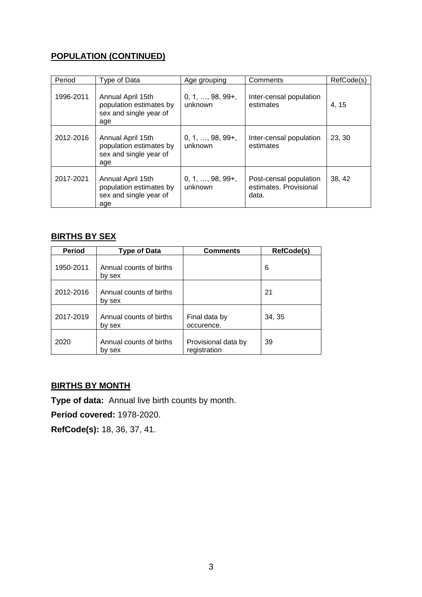## **POPULATION (CONTINUED)**

| Period    | Type of Data                                                                  | Age grouping                        | Comments                                                  | RefCode(s) |
|-----------|-------------------------------------------------------------------------------|-------------------------------------|-----------------------------------------------------------|------------|
| 1996-2011 | Annual April 15th<br>population estimates by<br>sex and single year of<br>age | $0, 1, \ldots, 98, 99+$<br>unknown  | Inter-censal population<br>estimates                      | 4.15       |
| 2012-2016 | Annual April 15th<br>population estimates by<br>sex and single year of<br>age | $0, 1, \ldots, 98, 99+$<br>unknown  | Inter-censal population<br>estimates                      | 23, 30     |
| 2017-2021 | Annual April 15th<br>population estimates by<br>sex and single year of<br>age | $0, 1, \ldots, 98, 99+,$<br>unknown | Post-censal population<br>estimates. Provisional<br>data. | 38, 42     |

#### **BIRTHS BY SEX**

| <b>Period</b> | <b>Type of Data</b>               | <b>Comments</b>                     | RefCode(s) |
|---------------|-----------------------------------|-------------------------------------|------------|
| 1950-2011     | Annual counts of births<br>by sex |                                     | 6          |
| 2012-2016     | Annual counts of births<br>by sex |                                     | 21         |
| 2017-2019     | Annual counts of births<br>by sex | Final data by<br>occurence.         | 34, 35     |
| 2020          | Annual counts of births<br>by sex | Provisional data by<br>registration | 39         |

## **BIRTHS BY MONTH**

**Type of data:** Annual live birth counts by month.

**Period covered:** 1978-2020.

**RefCode(s):** 18, 36, 37, 41.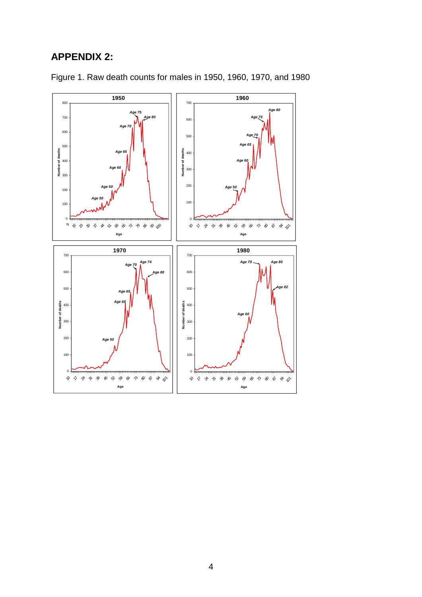# **APPENDIX 2:**



Figure 1. Raw death counts for males in 1950, 1960, 1970, and 1980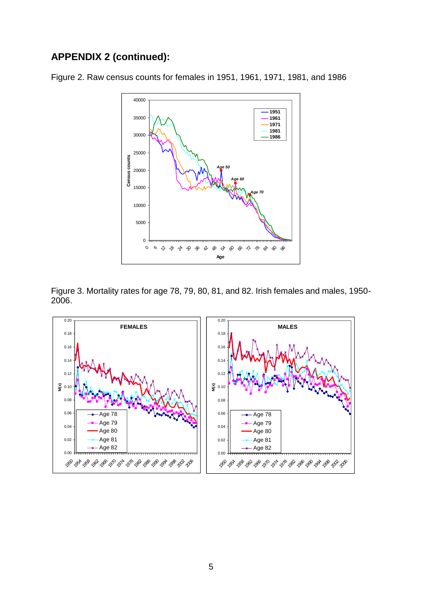#### **APPENDIX 2 (continued):**

Figure 2. Raw census counts for females in 1951, 1961, 1971, 1981, and 1986



Figure 3. Mortality rates for age 78, 79, 80, 81, and 82. Irish females and males, 1950- 2006.